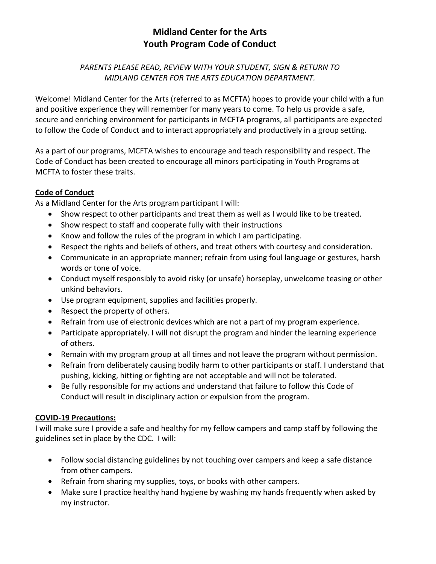# **Midland Center for the Arts Youth Program Code of Conduct**

### *PARENTS PLEASE READ, REVIEW WITH YOUR STUDENT, SIGN & RETURN TO MIDLAND CENTER FOR THE ARTS EDUCATION DEPARTMENT.*

Welcome! Midland Center for the Arts (referred to as MCFTA) hopes to provide your child with a fun and positive experience they will remember for many years to come. To help us provide a safe, secure and enriching environment for participants in MCFTA programs, all participants are expected to follow the Code of Conduct and to interact appropriately and productively in a group setting.

As a part of our programs, MCFTA wishes to encourage and teach responsibility and respect. The Code of Conduct has been created to encourage all minors participating in Youth Programs at MCFTA to foster these traits.

### **Code of Conduct**

As a Midland Center for the Arts program participant I will:

- Show respect to other participants and treat them as well as I would like to be treated.
- Show respect to staff and cooperate fully with their instructions
- Know and follow the rules of the program in which I am participating.
- Respect the rights and beliefs of others, and treat others with courtesy and consideration.
- Communicate in an appropriate manner; refrain from using foul language or gestures, harsh words or tone of voice.
- Conduct myself responsibly to avoid risky (or unsafe) horseplay, unwelcome teasing or other unkind behaviors.
- Use program equipment, supplies and facilities properly.
- Respect the property of others.
- Refrain from use of electronic devices which are not a part of my program experience.
- Participate appropriately. I will not disrupt the program and hinder the learning experience of others.
- Remain with my program group at all times and not leave the program without permission.
- Refrain from deliberately causing bodily harm to other participants or staff. I understand that pushing, kicking, hitting or fighting are not acceptable and will not be tolerated.
- Be fully responsible for my actions and understand that failure to follow this Code of Conduct will result in disciplinary action or expulsion from the program.

## **COVID-19 Precautions:**

I will make sure I provide a safe and healthy for my fellow campers and camp staff by following the guidelines set in place by the CDC. I will:

- Follow social distancing guidelines by not touching over campers and keep a safe distance from other campers.
- Refrain from sharing my supplies, toys, or books with other campers.
- Make sure I practice healthy hand hygiene by washing my hands frequently when asked by my instructor.